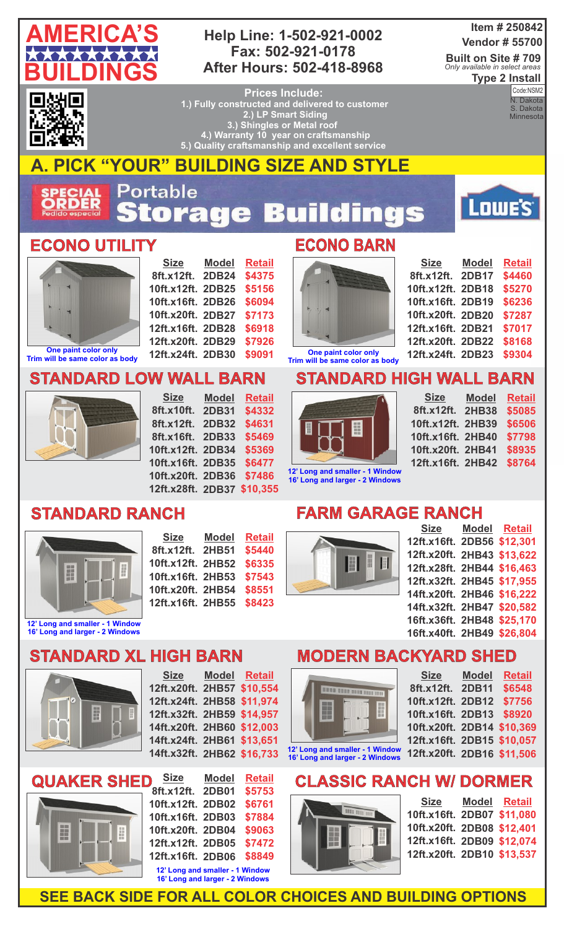

#### **Help Line: 1-502-921-0002 Fax: 502-921-0178 After Hours: 502-418-8968**

#### **Item # 250842 Vendor # 55700**

**Built on Site # 709 Type 2 Install** *Only available in select areas*

▎▆ т

**Prices Include: 1.) Fully constructed and delivered to customer 2.) LP Smart Siding 3.) Shingles or Metal roof 4.) Warranty 10 year on craftsmanship 5.) Quality craftsmanship and excellent service** 

**Code:** NSMZ<br>N. Dakota Code:NSM2 S. Dakota **Minnesota** 

**AMERICA'S CONSTRUCTION** 

Lowe's



## **A. PICK "YOUR" BUILDING SIZE AND STYLE**

Portable **ECIAL**<br>RDER tora 53 ngs  $\mathbf{e}$ ÷

#### **ECONO UTILITY ECONO BARN**



**Trim will be same color as body**

**Size 8ft.x12ft. 2DB24 10ft.x12ft. 2DB25 10ft.x16ft. 2DB26 10ft.x20ft. 2DB27 12ft.x16ft. 2DB28 12ft.x20ft. 2DB29 12ft.x24ft. 2DB30 Model Retail \$4375 \$5156 \$6094 \$7173 \$6918 \$7926 \$9091**

**Model**

**Retail \$4332 \$4631 \$5469 \$5369 \$6477**



| <b>Size</b>       | <b>Model</b> | <b>Retail</b> |
|-------------------|--------------|---------------|
| 8ft.x12ft. 2DB17  |              | \$4460        |
| 10ft.x12ft. 2DB18 |              | \$5270        |
| 10ft.x16ft. 2DB19 |              | \$6236        |
| 10ft.x20ft. 2DB20 |              | \$7287        |
| 12ft.x16ft. 2DB21 |              | \$7017        |
| 12ft.x20ft. 2DB22 |              | \$8168        |
| 12ft.x24ft. 2DB23 |              | \$9304        |

**One paint color only Trim will be same color as body**

### **STANDARD HIGH WALL BARN**



**Size 8ft.x12ft. 2HB38 10ft.x12ft. 2HB39 10ft.x16ft. 2HB40 10ft.x20ft. 2HB41 12ft.x16ft. Model 2HB42 Retail \$5085 \$6506 \$7798 \$8935 \$8764**

**12' Long and smaller - 1 Window 16' Long and larger - 2 Windows**

| dow<br>ows | 12ft.x16ft. 2HB42 \$8764 |                   |  |
|------------|--------------------------|-------------------|--|
|            | <b>AGE RANCH</b>         |                   |  |
|            |                          | Size Model Retail |  |



**STANDARD RANCH** 

| <b>Size</b>       | <b>Model</b> | <b>Retail</b> |
|-------------------|--------------|---------------|
| 8ft.x12ft. 2HB51  |              | \$5440        |
| 10ft.x12ft. 2HB52 |              | \$6335        |
| 10ft.x16ft. 2HB53 |              | \$7543        |
| 10ft.x20ft. 2HB54 |              | \$8551        |
| 12ft.x16ft. 2HB55 |              | \$8423        |
|                   |              |               |

**10ft.x20ft. 2DB36 \$7486 12ft.x28ft. 2DB37 \$10,355**

#### **FARM GARA**



|                            | <u>Size model Retail</u> |  |
|----------------------------|--------------------------|--|
| 12ft.x16ft. 2DB56 \$12,301 |                          |  |
| 12ft.x20ft. 2HB43 \$13,622 |                          |  |
| 12ft.x28ft. 2HB44 \$16,463 |                          |  |
| 12ft.x32ft. 2HB45 \$17,955 |                          |  |
| 14ft.x20ft. 2HB46 \$16,222 |                          |  |
| 14ft.x32ft. 2HB47 \$20,582 |                          |  |
| 16ft.x36ft. 2HB48 \$25,170 |                          |  |
| 16ft.x40ft. 2HB49 \$26,804 |                          |  |
|                            |                          |  |

## **STANDARD XL HIGH BARN**

**STANDARD LOW WALL BARN**

**Size**

**8ft.x10ft. 2DB31 8ft.x12ft. 2DB32 8ft.x16ft. 2DB33 10ft.x12ft. 2DB34 10ft.x16ft. 2DB35**



**12' Long and smaller - 1 Window 16' Long and larger - 2 Windows**





| <b>Size</b>                                                        | <b>Model</b> | <b>Retail</b> |  |
|--------------------------------------------------------------------|--------------|---------------|--|
| 8ft.x12ft. 2DB01                                                   |              | \$5753        |  |
| 10ft.x12ft. 2DB02                                                  |              | \$6761        |  |
| 10ft.x16ft. 2DB03                                                  |              | \$7884        |  |
| 10ft.x20ft. 2DB04                                                  |              | \$9063        |  |
| 12ft.x12ft. 2DB05                                                  |              | \$7472        |  |
| 12ft.x16ft. 2DB06                                                  |              | \$8849        |  |
| 12' Long and smaller - 1 Window<br>16' Long and larger - 2 Windows |              |               |  |

# **MODERN BACKYARD SHED**

 $S := S$ 

|  | <b>BURN DOOR DOOR ROOM FOR</b> |
|--|--------------------------------|

**12' Long and smaller - 1 Window 16' Long and larger - 2 Windows**

| <b>Size</b>                | <b>Model</b> | <b>Retail</b> |
|----------------------------|--------------|---------------|
| 8ft.x12ft.                 | <b>2DB11</b> | \$6548        |
| 10ft.x12ft. 2DB12          |              | \$7756        |
| 10ft.x16ft. 2DB13          |              | \$8920        |
| 10ft.x20ft. 2DB14 \$10,369 |              |               |
| 12ft.x16ft. 2DB15 \$10,057 |              |               |
| 12ft.x20ft. 2DB16 \$11,506 |              |               |
|                            |              |               |

# **CLASSIC RANCH W/ DORMER**



| Size                       | Model Retail |
|----------------------------|--------------|
| 10ft.x16ft. 2DB07 \$11,080 |              |
| 10ft.x20ft. 2DB08 \$12,401 |              |
| 12ft.x16ft. 2DB09 \$12,074 |              |
| 12ft.x20ft. 2DB10 \$13,537 |              |

**SEE BACK SIDE FOR ALL COLOR CHOICES AND BUILDING OPTIONS**